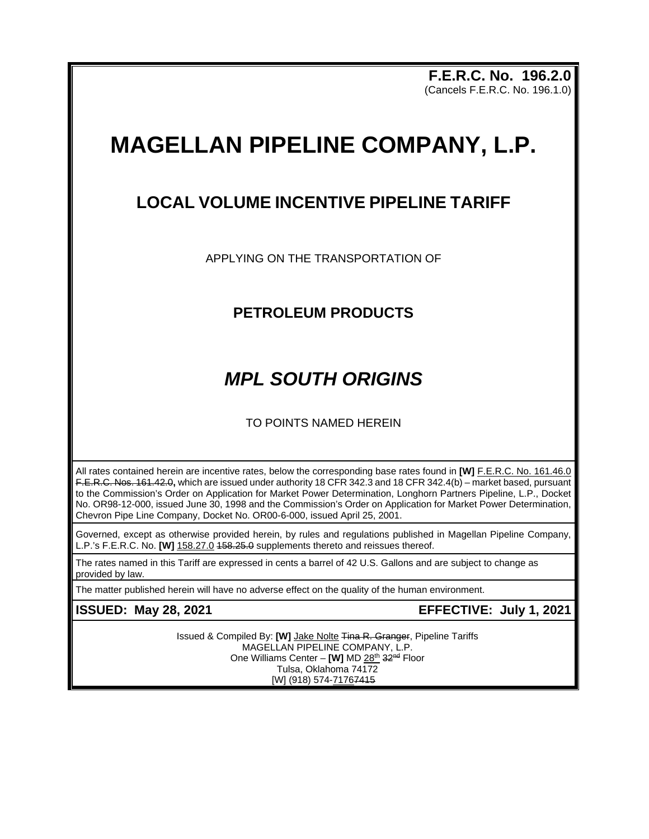**F.E.R.C. No. 196.2.0** (Cancels F.E.R.C. No. 196.1.0)

# **MAGELLAN PIPELINE COMPANY, L.P.**

## **LOCAL VOLUME INCENTIVE PIPELINE TARIFF**

APPLYING ON THE TRANSPORTATION OF

### **PETROLEUM PRODUCTS**

## *MPL SOUTH ORIGINS*

TO POINTS NAMED HEREIN

All rates contained herein are incentive rates, below the corresponding base rates found in **[W]** F.E.R.C. No. 161.46.0 F.E.R.C. Nos. 161.42.0**,** which are issued under authority 18 CFR 342.3 and 18 CFR 342.4(b) – market based, pursuant to the Commission's Order on Application for Market Power Determination, Longhorn Partners Pipeline, L.P., Docket No. OR98-12-000, issued June 30, 1998 and the Commission's Order on Application for Market Power Determination, Chevron Pipe Line Company, Docket No. OR00-6-000, issued April 25, 2001.

Governed, except as otherwise provided herein, by rules and regulations published in Magellan Pipeline Company, L.P.'s F.E.R.C. No. **[W]** 158.27.0 458.25.0 supplements thereto and reissues thereof.

The rates named in this Tariff are expressed in cents a barrel of 42 U.S. Gallons and are subject to change as provided by law.

The matter published herein will have no adverse effect on the quality of the human environment.

**ISSUED: May 28, 2021 EFFECTIVE: July 1, 2021**

Issued & Compiled By: [W] Jake Nolte Tina R. Granger, Pipeline Tariffs MAGELLAN PIPELINE COMPANY, L.P. One Williams Center - [W] MD 28<sup>th</sup> 32<sup>nd</sup> Floor Tulsa, Oklahoma 74172 [W] (918) 574-71767415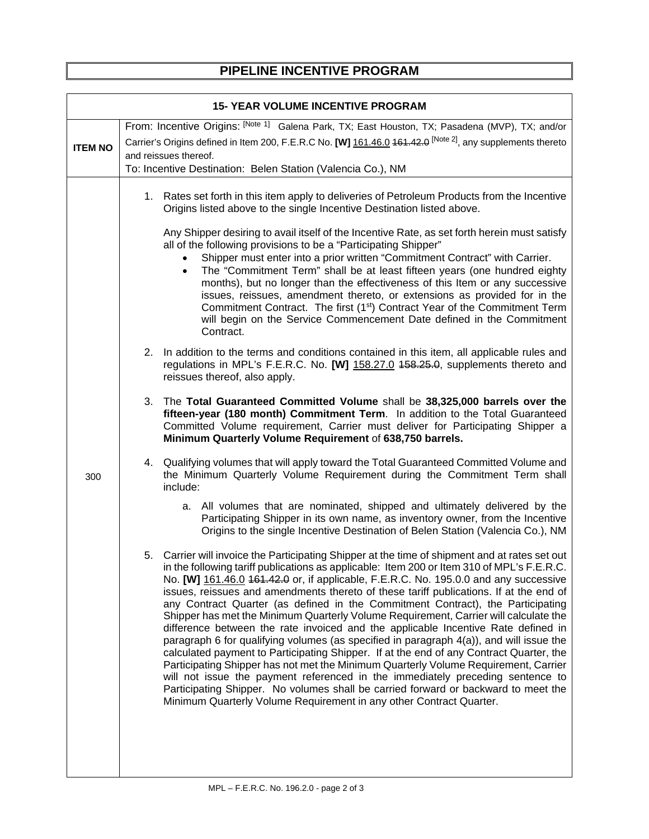## **PIPELINE INCENTIVE PROGRAM**

| <b>15- YEAR VOLUME INCENTIVE PROGRAM</b> |                                                                                                                                                                                                                                                                                                                                                                                                                                                                                                                                                                                                                                                                                                                                                                                                                                                                                                                                                                                                                                                                                                                                                                            |  |  |  |
|------------------------------------------|----------------------------------------------------------------------------------------------------------------------------------------------------------------------------------------------------------------------------------------------------------------------------------------------------------------------------------------------------------------------------------------------------------------------------------------------------------------------------------------------------------------------------------------------------------------------------------------------------------------------------------------------------------------------------------------------------------------------------------------------------------------------------------------------------------------------------------------------------------------------------------------------------------------------------------------------------------------------------------------------------------------------------------------------------------------------------------------------------------------------------------------------------------------------------|--|--|--|
| <b>ITEM NO</b>                           | From: Incentive Origins: [Note 1] Galena Park, TX; East Houston, TX; Pasadena (MVP), TX; and/or<br>Carrier's Origins defined in Item 200, F.E.R.C No. [W] 161.46.0 461.42.0 [Note 2], any supplements thereto<br>and reissues thereof.<br>To: Incentive Destination: Belen Station (Valencia Co.), NM                                                                                                                                                                                                                                                                                                                                                                                                                                                                                                                                                                                                                                                                                                                                                                                                                                                                      |  |  |  |
|                                          | 1. Rates set forth in this item apply to deliveries of Petroleum Products from the Incentive<br>Origins listed above to the single Incentive Destination listed above.                                                                                                                                                                                                                                                                                                                                                                                                                                                                                                                                                                                                                                                                                                                                                                                                                                                                                                                                                                                                     |  |  |  |
|                                          | Any Shipper desiring to avail itself of the Incentive Rate, as set forth herein must satisfy<br>all of the following provisions to be a "Participating Shipper"<br>Shipper must enter into a prior written "Commitment Contract" with Carrier.<br>The "Commitment Term" shall be at least fifteen years (one hundred eighty<br>$\bullet$<br>months), but no longer than the effectiveness of this Item or any successive<br>issues, reissues, amendment thereto, or extensions as provided for in the<br>Commitment Contract. The first (1 <sup>st</sup> ) Contract Year of the Commitment Term<br>will begin on the Service Commencement Date defined in the Commitment<br>Contract.                                                                                                                                                                                                                                                                                                                                                                                                                                                                                      |  |  |  |
|                                          | In addition to the terms and conditions contained in this item, all applicable rules and<br>2.<br>regulations in MPL's F.E.R.C. No. [W] 158.27.0 458.25.0, supplements thereto and<br>reissues thereof, also apply.                                                                                                                                                                                                                                                                                                                                                                                                                                                                                                                                                                                                                                                                                                                                                                                                                                                                                                                                                        |  |  |  |
|                                          | 3. The Total Guaranteed Committed Volume shall be 38,325,000 barrels over the<br>fifteen-year (180 month) Commitment Term. In addition to the Total Guaranteed<br>Committed Volume requirement, Carrier must deliver for Participating Shipper a<br>Minimum Quarterly Volume Requirement of 638,750 barrels.                                                                                                                                                                                                                                                                                                                                                                                                                                                                                                                                                                                                                                                                                                                                                                                                                                                               |  |  |  |
| 300                                      | 4. Qualifying volumes that will apply toward the Total Guaranteed Committed Volume and<br>the Minimum Quarterly Volume Requirement during the Commitment Term shall<br>include:                                                                                                                                                                                                                                                                                                                                                                                                                                                                                                                                                                                                                                                                                                                                                                                                                                                                                                                                                                                            |  |  |  |
|                                          | a. All volumes that are nominated, shipped and ultimately delivered by the<br>Participating Shipper in its own name, as inventory owner, from the Incentive<br>Origins to the single Incentive Destination of Belen Station (Valencia Co.), NM                                                                                                                                                                                                                                                                                                                                                                                                                                                                                                                                                                                                                                                                                                                                                                                                                                                                                                                             |  |  |  |
|                                          | 5. Carrier will invoice the Participating Shipper at the time of shipment and at rates set out<br>in the following tariff publications as applicable: Item 200 or Item 310 of MPL's F.E.R.C.<br>No. [W] 161.46.0 461.42.0 or, if applicable, F.E.R.C. No. 195.0.0 and any successive<br>issues, reissues and amendments thereto of these tariff publications. If at the end of<br>any Contract Quarter (as defined in the Commitment Contract), the Participating<br>Shipper has met the Minimum Quarterly Volume Requirement, Carrier will calculate the<br>difference between the rate invoiced and the applicable Incentive Rate defined in<br>paragraph 6 for qualifying volumes (as specified in paragraph 4(a)), and will issue the<br>calculated payment to Participating Shipper. If at the end of any Contract Quarter, the<br>Participating Shipper has not met the Minimum Quarterly Volume Requirement, Carrier<br>will not issue the payment referenced in the immediately preceding sentence to<br>Participating Shipper. No volumes shall be carried forward or backward to meet the<br>Minimum Quarterly Volume Requirement in any other Contract Quarter. |  |  |  |
|                                          |                                                                                                                                                                                                                                                                                                                                                                                                                                                                                                                                                                                                                                                                                                                                                                                                                                                                                                                                                                                                                                                                                                                                                                            |  |  |  |